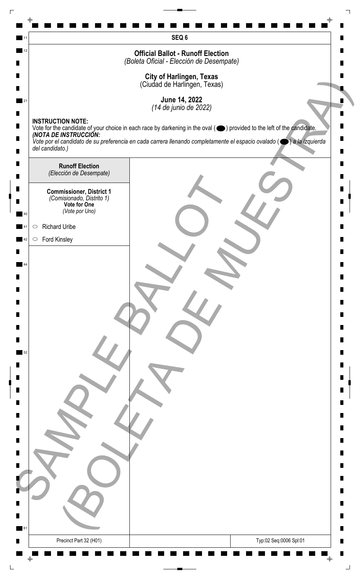|    |                                                              | SEQ 6                                                                                                                                                     |
|----|--------------------------------------------------------------|-----------------------------------------------------------------------------------------------------------------------------------------------------------|
| 12 |                                                              | <b>Official Ballot - Runoff Election</b><br>(Boleta Oficial - Elección de Desempate)                                                                      |
|    |                                                              |                                                                                                                                                           |
|    |                                                              | <b>City of Harlingen, Texas</b><br>(Ciudad de Harlingen, Texas)                                                                                           |
|    |                                                              | June 14, 2022                                                                                                                                             |
|    |                                                              | (14 de junio de 2022)                                                                                                                                     |
|    | <b>INSTRUCTION NOTE:</b>                                     | Vote for the candidate of your choice in each race by darkening in the oval ( ightarrow ) provided to the left of the candidate.<br>(NOTA DE INSTRUCCIÓN: |
|    |                                                              | Vote por el candidato de su preferencia en cada carrera llenando completamente el espacio ovalado ( $\bullet$ ) a la izquierda                            |
|    | del candidato.)                                              |                                                                                                                                                           |
|    | <b>Runoff Election</b><br>(Elección de Desempate)            |                                                                                                                                                           |
|    |                                                              |                                                                                                                                                           |
|    | <b>Commissioner, District 1</b><br>(Comisionado, Distrito 1) |                                                                                                                                                           |
| 40 | Vote for One<br>(Vote por Uno)                               |                                                                                                                                                           |
|    | <b>Richard Uribe</b><br>$\bigcirc$                           |                                                                                                                                                           |
| 42 | $\circ$ Ford Kinsley                                         |                                                                                                                                                           |
|    |                                                              |                                                                                                                                                           |
|    |                                                              |                                                                                                                                                           |
|    |                                                              |                                                                                                                                                           |
|    |                                                              |                                                                                                                                                           |
|    |                                                              |                                                                                                                                                           |
|    |                                                              |                                                                                                                                                           |
|    |                                                              |                                                                                                                                                           |
|    |                                                              |                                                                                                                                                           |
|    |                                                              |                                                                                                                                                           |
|    |                                                              |                                                                                                                                                           |
|    |                                                              |                                                                                                                                                           |
|    |                                                              |                                                                                                                                                           |
|    |                                                              |                                                                                                                                                           |
|    |                                                              |                                                                                                                                                           |
|    |                                                              |                                                                                                                                                           |
|    |                                                              |                                                                                                                                                           |
|    |                                                              |                                                                                                                                                           |
|    |                                                              |                                                                                                                                                           |
|    |                                                              |                                                                                                                                                           |
|    |                                                              |                                                                                                                                                           |
|    |                                                              |                                                                                                                                                           |
| 61 |                                                              | ш                                                                                                                                                         |
|    | Precinct Part 32 (H01)                                       | Typ:02 Seq:0006 Spl:01                                                                                                                                    |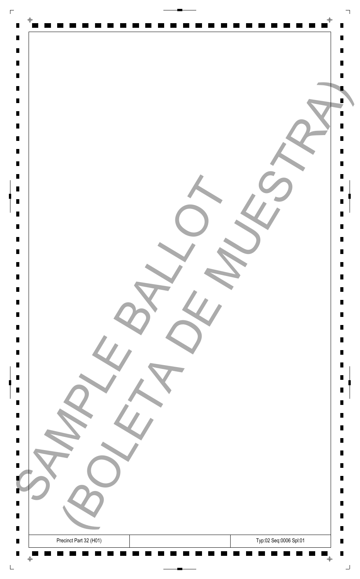| $\Gamma$                         |                                                  |        |
|----------------------------------|--------------------------------------------------|--------|
| $\blacksquare$                   | $\Phi$                                           |        |
| $\blacksquare$                   |                                                  | Ш      |
| $\blacksquare$                   |                                                  | П      |
| $\blacksquare$<br>$\blacksquare$ |                                                  |        |
| $\blacksquare$                   |                                                  |        |
| $\blacksquare$                   |                                                  |        |
| $\blacksquare$                   |                                                  |        |
| $\blacksquare$                   |                                                  |        |
| $\blacksquare$<br>$\blacksquare$ |                                                  | П      |
| $\blacksquare$                   |                                                  | П      |
| $\blacksquare$                   |                                                  |        |
| $\blacksquare$                   |                                                  | Ш      |
| $\blacksquare$                   |                                                  | П      |
| $\blacksquare$<br>$\blacksquare$ |                                                  | П      |
| $\blacksquare$                   |                                                  |        |
|                                  |                                                  |        |
|                                  |                                                  | П      |
| $\blacksquare$<br>$\Box$         |                                                  | Ш<br>Ш |
| $\blacksquare$                   |                                                  | Ш      |
| $\blacksquare$                   |                                                  | Ш      |
| $\blacksquare$                   |                                                  | Ш      |
| $\blacksquare$<br>$\blacksquare$ |                                                  | Ш      |
| $\blacksquare$                   |                                                  | П      |
| $\blacksquare$                   |                                                  | Ш      |
| $\blacksquare$                   |                                                  | Ш      |
| $\blacksquare$<br>$\blacksquare$ |                                                  | Ш      |
| $\blacksquare$                   |                                                  | п      |
|                                  |                                                  | Ш      |
| $\blacksquare$                   |                                                  | Ш      |
| $\blacksquare$                   |                                                  | Ш      |
| ٠                                |                                                  | П      |
| Ц                                |                                                  | ш      |
| $\blacksquare$                   |                                                  | ш      |
| $\blacksquare$<br>$\blacksquare$ | Typ:02 Seq:0006 Spl:01<br>Precinct Part 32 (H01) | П<br>Ш |
| $\blacksquare$                   |                                                  | П      |
|                                  | $\bar{\mathrm{+}}$<br>$\bigoplus$<br>- -         | ┙      |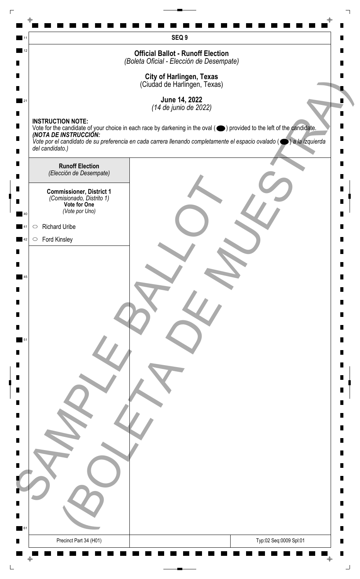|            |                                                              | SEQ <sub>9</sub>                                                                                                                                          |
|------------|--------------------------------------------------------------|-----------------------------------------------------------------------------------------------------------------------------------------------------------|
| 12         |                                                              | <b>Official Ballot - Runoff Election</b><br>(Boleta Oficial - Elección de Desempate)                                                                      |
|            |                                                              |                                                                                                                                                           |
|            |                                                              | <b>City of Harlingen, Texas</b><br>(Ciudad de Harlingen, Texas)                                                                                           |
|            |                                                              | June 14, 2022                                                                                                                                             |
|            |                                                              | (14 de junio de 2022)                                                                                                                                     |
|            | <b>INSTRUCTION NOTE:</b>                                     | Vote for the candidate of your choice in each race by darkening in the oval ( ightarrow ) provided to the left of the candidate.<br>(NOTA DE INSTRUCCIÓN: |
|            |                                                              | Vote por el candidato de su preferencia en cada carrera llenando completamente el espacio ovalado ( $\bullet$ ) a la izquierda                            |
|            | del candidato.)                                              |                                                                                                                                                           |
|            | <b>Runoff Election</b><br>(Elección de Desempate)            |                                                                                                                                                           |
|            |                                                              |                                                                                                                                                           |
|            | <b>Commissioner, District 1</b><br>(Comisionado, Distrito 1) |                                                                                                                                                           |
| 40         | Vote for One<br>(Vote por Uno)                               |                                                                                                                                                           |
| $\bigcirc$ | <b>Richard Uribe</b>                                         |                                                                                                                                                           |
| 42         | $\circ$ Ford Kinsley                                         |                                                                                                                                                           |
|            |                                                              |                                                                                                                                                           |
|            |                                                              |                                                                                                                                                           |
|            |                                                              |                                                                                                                                                           |
|            |                                                              |                                                                                                                                                           |
|            |                                                              |                                                                                                                                                           |
|            |                                                              |                                                                                                                                                           |
| 51         |                                                              |                                                                                                                                                           |
|            |                                                              |                                                                                                                                                           |
|            |                                                              |                                                                                                                                                           |
|            |                                                              |                                                                                                                                                           |
|            |                                                              |                                                                                                                                                           |
|            |                                                              |                                                                                                                                                           |
|            |                                                              |                                                                                                                                                           |
|            |                                                              |                                                                                                                                                           |
|            |                                                              |                                                                                                                                                           |
|            |                                                              |                                                                                                                                                           |
|            |                                                              |                                                                                                                                                           |
|            |                                                              |                                                                                                                                                           |
|            |                                                              |                                                                                                                                                           |
|            |                                                              |                                                                                                                                                           |
| 61         |                                                              | ш                                                                                                                                                         |
|            | Precinct Part 34 (H01)                                       | Typ:02 Seq:0009 Spl:01                                                                                                                                    |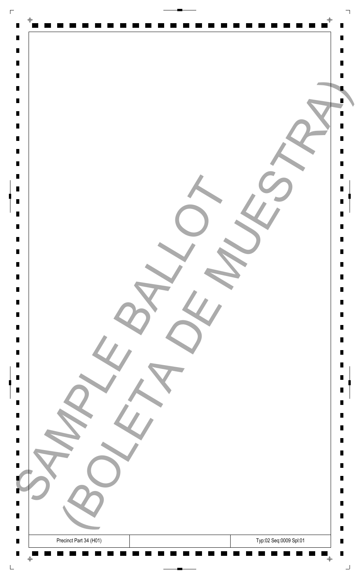| $\Gamma$                                                   |                             |
|------------------------------------------------------------|-----------------------------|
| $\blacksquare$                                             | $\Phi$                      |
| $\blacksquare$                                             | Ш                           |
| $\blacksquare$<br>$\blacksquare$                           | П                           |
| $\blacksquare$                                             |                             |
| $\blacksquare$                                             |                             |
| $\blacksquare$                                             |                             |
| $\blacksquare$<br>$\blacksquare$                           |                             |
| $\blacksquare$                                             |                             |
| $\blacksquare$                                             | П                           |
| $\blacksquare$<br>$\blacksquare$                           | П                           |
| $\blacksquare$                                             | Ш                           |
| $\blacksquare$                                             | П                           |
| $\blacksquare$<br>$\blacksquare$                           | П                           |
| $\blacksquare$                                             |                             |
|                                                            |                             |
| $\blacksquare$<br>$\blacksquare$                           | П<br>Ш                      |
| $\Box$                                                     | Ш                           |
| $\blacksquare$<br>$\blacksquare$                           | Ш<br>Ш                      |
| $\blacksquare$                                             | Ш                           |
| $\blacksquare$                                             | Ш                           |
| $\blacksquare$<br>$\blacksquare$                           | П                           |
| $\blacksquare$                                             | Ш                           |
| $\blacksquare$                                             | Ш                           |
| $\blacksquare$<br>$\blacksquare$                           | Ш                           |
| $\blacksquare$                                             | п                           |
|                                                            | Ш                           |
| $\blacksquare$                                             | Ш                           |
| $\blacksquare$                                             | Ш                           |
| ٠                                                          | П                           |
| Ц<br>$\blacksquare$                                        | ш<br>п                      |
| $\blacksquare$                                             | П                           |
| Precinct Part 34 (H01)<br>$\blacksquare$<br>$\blacksquare$ | Typ:02 Seq:0009 Spl:01<br>Ш |
|                                                            | П                           |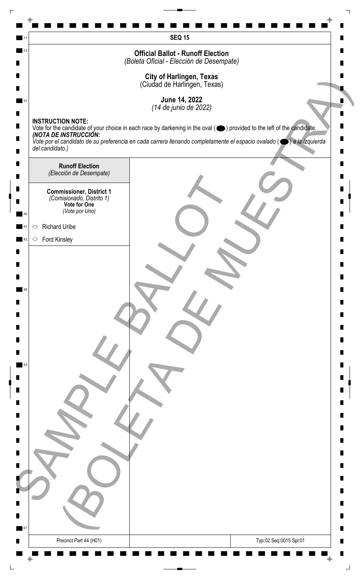|    | <b>SEQ 15</b>                                                                                                                                              |   |
|----|------------------------------------------------------------------------------------------------------------------------------------------------------------|---|
| 12 | <b>Official Ballot - Runoff Election</b>                                                                                                                   |   |
|    | (Boleta Oficial - Elección de Desempate)                                                                                                                   |   |
|    | <b>City of Harlingen, Texas</b><br>(Ciudad de Harlingen, Texas)                                                                                            |   |
|    | June 14, 2022                                                                                                                                              |   |
|    | (14 de junio de 2022)<br><b>INSTRUCTION NOTE:</b>                                                                                                          |   |
|    | Vote for the candidate of your choice in each race by darkening in the oval ( $\bigcirc$ ) provided to the left of the candidate.<br>(NOTA DE INSTRUCCIÓN: |   |
|    | Vote por el candidato de su preferencia en cada carrera llenando completamente el espacio ovalado ( $\bigcirc$ ) a la izquierda<br>del candidato.)         |   |
|    | <b>Runoff Election</b>                                                                                                                                     |   |
|    | (Elección de Desempate)                                                                                                                                    |   |
|    | <b>Commissioner, District 1</b><br>(Comisionado, Distrito 1)                                                                                               |   |
|    | Vote for One<br>(Vote por Uno)                                                                                                                             |   |
|    | <b>Richard Uribe</b><br>$\bigcirc$                                                                                                                         |   |
|    | <b>Ford Kinsley</b><br>$\circ$                                                                                                                             |   |
|    |                                                                                                                                                            |   |
|    |                                                                                                                                                            |   |
|    |                                                                                                                                                            |   |
|    |                                                                                                                                                            |   |
|    |                                                                                                                                                            |   |
|    |                                                                                                                                                            |   |
|    |                                                                                                                                                            |   |
| 53 |                                                                                                                                                            |   |
|    |                                                                                                                                                            |   |
|    |                                                                                                                                                            |   |
|    |                                                                                                                                                            |   |
|    |                                                                                                                                                            |   |
|    |                                                                                                                                                            |   |
|    |                                                                                                                                                            |   |
|    |                                                                                                                                                            |   |
|    |                                                                                                                                                            |   |
|    |                                                                                                                                                            |   |
|    |                                                                                                                                                            |   |
| 61 |                                                                                                                                                            | Ш |
|    | Precinct Part 44 (H01)<br>Typ:02 Seq:0015 Spl:01                                                                                                           |   |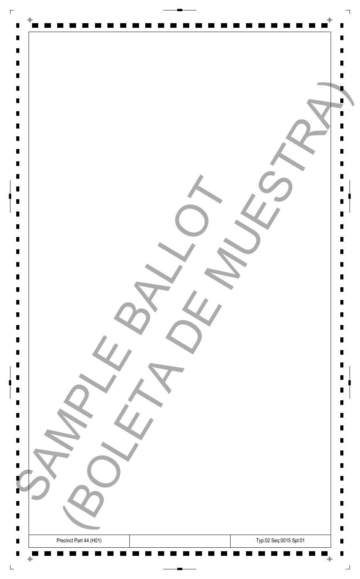| $\Box$                                                                                                                     |                                                                                   |                                      |
|----------------------------------------------------------------------------------------------------------------------------|-----------------------------------------------------------------------------------|--------------------------------------|
| $\blacksquare$<br>$\blacksquare$<br>$\blacksquare$<br>$\blacksquare$<br>$\blacksquare$<br>$\blacksquare$                   | $\bigoplus$                                                                       | Ш                                    |
| $\blacksquare$<br>$\blacksquare$<br>$\blacksquare$<br>$\blacksquare$<br>$\blacksquare$<br>$\blacksquare$<br>$\blacksquare$ |                                                                                   | Ш                                    |
| $\blacksquare$<br>$\blacksquare$<br>$\blacksquare$<br>$\blacksquare$<br>$\blacksquare$                                     |                                                                                   | П<br>П<br>Ш                          |
| $\blacksquare$<br>$\blacksquare$<br>$\blacksquare$<br>$\blacksquare$<br>$\blacksquare$<br>$\blacksquare$                   |                                                                                   | П<br>Ш<br>Ш<br>Ш<br>Ш<br>Ш           |
| $\blacksquare$<br>$\blacksquare$<br>$\blacksquare$<br>$\blacksquare$<br>$\blacksquare$<br>$\blacksquare$                   |                                                                                   | Ш<br>Ш<br>Ш<br>П<br>П                |
| $\blacksquare$<br>$\blacksquare$<br>$\blacksquare$<br>B<br>ш<br>$\blacksquare$                                             | $\sim$                                                                            | Ш<br>Ш<br>Ш<br>Ш<br>Ш<br>П<br>ш<br>ш |
| $\blacksquare$<br>$\blacksquare$<br>$\blacksquare$                                                                         | Typ:02 Seq:0015 Spl:01<br>Precinct Part 44 (H01)<br>$\bar{\mathrm{+}}$<br>$\oint$ | П<br>$\blacksquare$<br>H<br>┙        |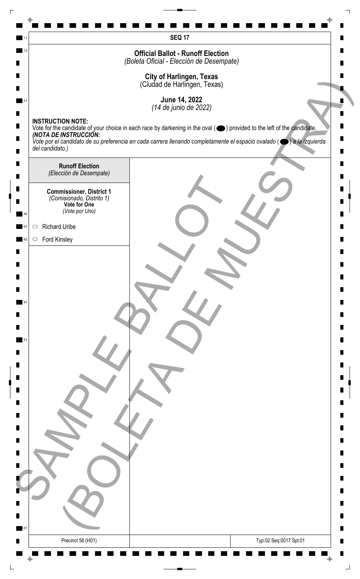|    | <b>SEQ 17</b>                                                                                                                                                                          |   |
|----|----------------------------------------------------------------------------------------------------------------------------------------------------------------------------------------|---|
| 12 | <b>Official Ballot - Runoff Election</b>                                                                                                                                               |   |
|    | (Boleta Oficial - Elección de Desempate)                                                                                                                                               |   |
|    | <b>City of Harlingen, Texas</b><br>(Ciudad de Harlingen, Texas)                                                                                                                        |   |
|    | June 14, 2022                                                                                                                                                                          |   |
|    | (14 de junio de 2022)                                                                                                                                                                  |   |
|    | <b>INSTRUCTION NOTE:</b><br>Vote for the candidate of your choice in each race by darkening in the oval ( $\bigcirc$ ) provided to the left of the candidate.<br>(NOTA DE INSTRUCCIÓN: |   |
|    | Vote por el candidato de su preferencia en cada carrera llenando completamente el espacio ovalado ( $\bigcirc$ ) a la izquierda                                                        |   |
|    | del candidato.)                                                                                                                                                                        |   |
|    | <b>Runoff Election</b><br>(Elección de Desempate)                                                                                                                                      |   |
|    |                                                                                                                                                                                        |   |
|    | <b>Commissioner, District 1</b><br>(Comisionado, Distrito 1)<br>Vote for One                                                                                                           |   |
|    | (Vote por Uno)                                                                                                                                                                         |   |
|    | <b>Richard Uribe</b><br>$\bigcirc$                                                                                                                                                     |   |
|    | <b>Ford Kinsley</b><br>$\circ$                                                                                                                                                         |   |
|    |                                                                                                                                                                                        |   |
|    |                                                                                                                                                                                        |   |
|    |                                                                                                                                                                                        |   |
|    |                                                                                                                                                                                        |   |
|    |                                                                                                                                                                                        |   |
|    |                                                                                                                                                                                        |   |
|    |                                                                                                                                                                                        |   |
|    |                                                                                                                                                                                        |   |
|    |                                                                                                                                                                                        |   |
|    |                                                                                                                                                                                        |   |
|    |                                                                                                                                                                                        |   |
|    |                                                                                                                                                                                        |   |
|    |                                                                                                                                                                                        |   |
|    |                                                                                                                                                                                        |   |
|    |                                                                                                                                                                                        |   |
|    |                                                                                                                                                                                        |   |
|    |                                                                                                                                                                                        |   |
|    |                                                                                                                                                                                        |   |
|    |                                                                                                                                                                                        |   |
|    |                                                                                                                                                                                        |   |
| 61 |                                                                                                                                                                                        | ш |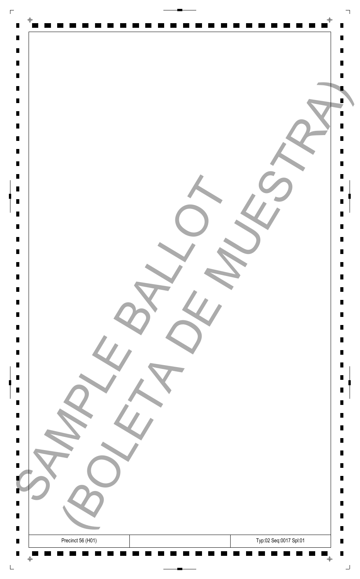| $\Gamma$                         |                                             |                |
|----------------------------------|---------------------------------------------|----------------|
| $\blacksquare$                   | $\Phi$                                      |                |
| $\blacksquare$                   |                                             | Ш              |
| $\blacksquare$                   |                                             | П              |
| $\blacksquare$<br>$\blacksquare$ |                                             |                |
| $\blacksquare$                   |                                             |                |
| $\blacksquare$                   |                                             |                |
| $\blacksquare$                   |                                             |                |
| $\blacksquare$<br>$\blacksquare$ |                                             |                |
| $\blacksquare$                   |                                             | П              |
| $\blacksquare$                   |                                             | П              |
| $\blacksquare$                   |                                             |                |
| $\blacksquare$<br>$\blacksquare$ |                                             | Ш<br>П         |
| $\blacksquare$                   |                                             | П              |
| $\blacksquare$                   |                                             |                |
| $\blacksquare$                   |                                             |                |
|                                  |                                             | П              |
| $\blacksquare$                   |                                             | Ш              |
| $\Box$                           |                                             | Ш              |
| $\blacksquare$                   |                                             | Ш              |
| $\blacksquare$<br>$\blacksquare$ |                                             | Ш<br>Ш         |
| $\blacksquare$                   |                                             | Ш              |
| $\blacksquare$                   |                                             |                |
| $\blacksquare$<br>$\blacksquare$ |                                             | П<br>Ш         |
| $\blacksquare$                   |                                             | Ш              |
| $\blacksquare$                   |                                             |                |
| $\blacksquare$                   |                                             | Ш              |
| $\blacksquare$                   |                                             | п<br>Ш         |
| $\blacksquare$                   |                                             | Ш              |
|                                  |                                             |                |
| $\blacksquare$<br>٠              |                                             | Ш<br>П         |
| Ц                                |                                             | ш              |
| $\blacksquare$                   |                                             | п              |
| $\blacksquare$                   |                                             | $\blacksquare$ |
| $\blacksquare$<br>$\blacksquare$ | Typ:02 Seq:0017 Spl:01<br>Precinct 56 (H01) | Ш<br>П         |
|                                  | $\bar{\mathrm{+}}$<br>$\bigoplus$           | ┙              |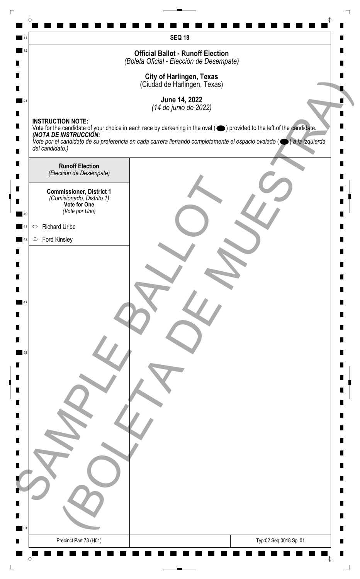|    | <b>SEQ 18</b>                                                                                                                                              |   |
|----|------------------------------------------------------------------------------------------------------------------------------------------------------------|---|
| 12 | <b>Official Ballot - Runoff Election</b>                                                                                                                   |   |
|    | (Boleta Oficial - Elección de Desempate)                                                                                                                   |   |
|    | <b>City of Harlingen, Texas</b><br>(Ciudad de Harlingen, Texas)                                                                                            |   |
|    | June 14, 2022                                                                                                                                              |   |
|    | (14 de junio de 2022)<br><b>INSTRUCTION NOTE:</b>                                                                                                          |   |
|    | Vote for the candidate of your choice in each race by darkening in the oval ( $\bigcirc$ ) provided to the left of the candidate.<br>(NOTA DE INSTRUCCIÓN: |   |
|    | Vote por el candidato de su preferencia en cada carrera llenando completamente el espacio ovalado ( $\bigcirc$ ) a la izquierda<br>del candidato.)         |   |
|    | <b>Runoff Election</b>                                                                                                                                     |   |
|    | (Elección de Desempate)                                                                                                                                    |   |
|    | <b>Commissioner, District 1</b><br>(Comisionado, Distrito 1)                                                                                               |   |
|    | Vote for One<br>(Vote por Uno)                                                                                                                             |   |
|    | <b>Richard Uribe</b><br>$\bigcirc$                                                                                                                         |   |
|    | <b>Ford Kinsley</b><br>$\circ$                                                                                                                             |   |
|    |                                                                                                                                                            |   |
|    |                                                                                                                                                            |   |
|    |                                                                                                                                                            |   |
|    |                                                                                                                                                            |   |
|    |                                                                                                                                                            |   |
|    |                                                                                                                                                            |   |
|    |                                                                                                                                                            |   |
|    |                                                                                                                                                            |   |
|    |                                                                                                                                                            |   |
|    |                                                                                                                                                            |   |
|    |                                                                                                                                                            |   |
|    |                                                                                                                                                            |   |
|    |                                                                                                                                                            |   |
|    |                                                                                                                                                            |   |
|    |                                                                                                                                                            |   |
|    |                                                                                                                                                            |   |
|    |                                                                                                                                                            |   |
|    |                                                                                                                                                            |   |
|    |                                                                                                                                                            | ш |
| 61 |                                                                                                                                                            |   |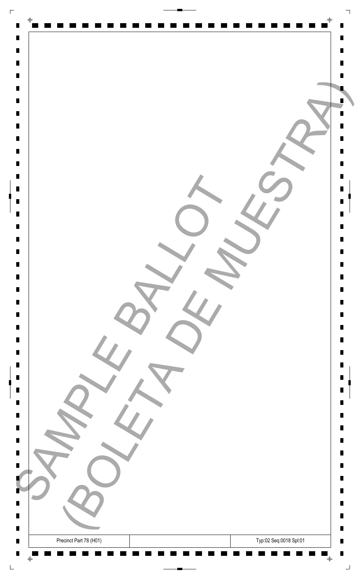| $\Gamma$                         |                                                  |        |
|----------------------------------|--------------------------------------------------|--------|
| $\blacksquare$                   | $\Phi$                                           |        |
| $\blacksquare$                   |                                                  | Ш      |
| $\blacksquare$                   |                                                  | П      |
| $\blacksquare$<br>$\blacksquare$ |                                                  |        |
| $\blacksquare$                   |                                                  |        |
| $\blacksquare$                   |                                                  |        |
| $\blacksquare$                   |                                                  |        |
| $\blacksquare$                   |                                                  |        |
| $\blacksquare$<br>$\blacksquare$ |                                                  | П      |
| $\blacksquare$                   |                                                  | П      |
| $\blacksquare$                   |                                                  |        |
| $\blacksquare$                   |                                                  | Ш      |
| $\blacksquare$                   |                                                  | П      |
| $\blacksquare$<br>$\blacksquare$ |                                                  | П      |
| $\blacksquare$                   |                                                  |        |
|                                  |                                                  |        |
|                                  |                                                  | П      |
| $\blacksquare$<br>$\Box$         |                                                  | Ш<br>Ш |
| $\blacksquare$                   |                                                  | Ш      |
| $\blacksquare$                   |                                                  | Ш      |
| $\blacksquare$                   |                                                  | Ш      |
| $\blacksquare$<br>$\blacksquare$ |                                                  | Ш      |
| $\blacksquare$                   |                                                  | П      |
| $\blacksquare$                   |                                                  | Ш      |
| $\blacksquare$                   |                                                  | Ш      |
| $\blacksquare$<br>$\blacksquare$ |                                                  |        |
| $\blacksquare$                   |                                                  | Ш<br>п |
|                                  |                                                  | Ш      |
| $\blacksquare$                   |                                                  | Ш      |
|                                  |                                                  |        |
| $\blacksquare$<br>٠              |                                                  | Ш<br>П |
| Ц                                |                                                  | ш      |
| $\blacksquare$                   |                                                  | ш      |
| $\blacksquare$                   |                                                  | П      |
| п<br>$\blacksquare$              | Typ:02 Seq:0018 Spl:01<br>Precinct Part 78 (H01) | Ш<br>П |
|                                  | $\bar{\mathrm{+}}$<br>$\bigoplus$<br>- 11        | ┙      |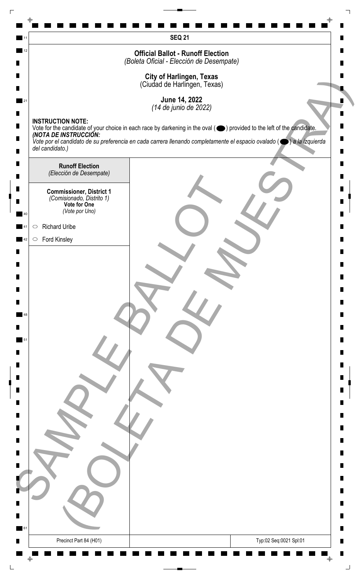| 12     | <b>SEQ 21</b><br><b>Official Ballot - Runoff Election</b>                                                                                                                              |   |
|--------|----------------------------------------------------------------------------------------------------------------------------------------------------------------------------------------|---|
|        | (Boleta Oficial - Elección de Desempate)                                                                                                                                               |   |
|        | <b>City of Harlingen, Texas</b><br>(Ciudad de Harlingen, Texas)                                                                                                                        |   |
|        | June 14, 2022                                                                                                                                                                          |   |
|        | (14 de junio de 2022)                                                                                                                                                                  |   |
| п      | <b>INSTRUCTION NOTE:</b><br>Vote for the candidate of your choice in each race by darkening in the oval ( $\bigcirc$ ) provided to the left of the candidate.<br>(NOTA DE INSTRUCCIÓN: |   |
| п      | Vote por el candidato de su preferencia en cada carrera llenando completamente el espacio ovalado ( $\bigcirc$ ) a la izquierda                                                        |   |
|        | del candidato.)                                                                                                                                                                        |   |
| П<br>П | <b>Runoff Election</b><br>(Elección de Desempate)                                                                                                                                      |   |
| п      | <b>Commissioner, District 1</b>                                                                                                                                                        |   |
|        | (Comisionado, Distrito 1)<br>Vote for One                                                                                                                                              |   |
|        | (Vote por Uno)                                                                                                                                                                         |   |
|        | <b>Richard Uribe</b><br>$\bigcirc$                                                                                                                                                     |   |
|        | <b>Ford Kinsley</b><br>$\circ$                                                                                                                                                         |   |
|        |                                                                                                                                                                                        |   |
|        |                                                                                                                                                                                        |   |
| П      |                                                                                                                                                                                        |   |
| П      |                                                                                                                                                                                        |   |
|        |                                                                                                                                                                                        |   |
|        |                                                                                                                                                                                        |   |
| П      |                                                                                                                                                                                        |   |
| Ш      |                                                                                                                                                                                        |   |
|        |                                                                                                                                                                                        |   |
| п      |                                                                                                                                                                                        |   |
| п<br>п |                                                                                                                                                                                        |   |
|        |                                                                                                                                                                                        |   |
| П      |                                                                                                                                                                                        |   |
| П      |                                                                                                                                                                                        |   |
|        |                                                                                                                                                                                        |   |
|        |                                                                                                                                                                                        |   |
|        |                                                                                                                                                                                        |   |
|        |                                                                                                                                                                                        |   |
| 61     |                                                                                                                                                                                        | ш |
|        |                                                                                                                                                                                        |   |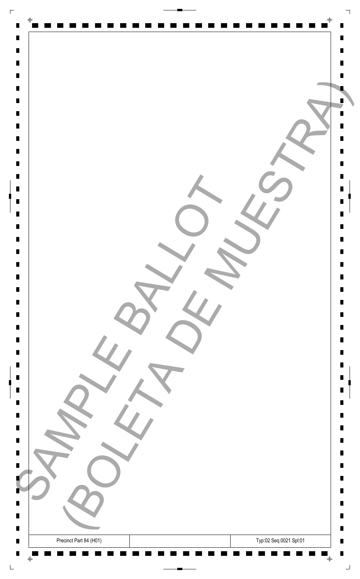| $\Gamma$                         |                                                  |        |
|----------------------------------|--------------------------------------------------|--------|
| $\blacksquare$                   | $\Phi$                                           |        |
| $\blacksquare$                   |                                                  | Ш      |
| $\blacksquare$<br>$\blacksquare$ |                                                  | П      |
| $\blacksquare$                   |                                                  |        |
| $\blacksquare$                   |                                                  |        |
| $\blacksquare$                   |                                                  |        |
| $\blacksquare$<br>$\blacksquare$ |                                                  |        |
| $\blacksquare$                   |                                                  |        |
| $\blacksquare$                   |                                                  | П      |
| $\blacksquare$<br>$\blacksquare$ |                                                  | П      |
| $\blacksquare$                   |                                                  | Ш      |
| $\blacksquare$                   |                                                  | П      |
| $\blacksquare$<br>$\blacksquare$ |                                                  | П      |
| $\blacksquare$                   |                                                  |        |
|                                  |                                                  | П      |
| $\blacksquare$                   |                                                  | Ш      |
| $\Box$                           |                                                  | Ш      |
| $\blacksquare$<br>$\blacksquare$ |                                                  | Ш<br>Ш |
| $\blacksquare$                   |                                                  | Ш      |
| $\blacksquare$                   |                                                  | Ш      |
| $\blacksquare$<br>$\blacksquare$ |                                                  | П      |
| $\blacksquare$                   |                                                  | Ш      |
| $\blacksquare$                   |                                                  | Ш      |
| $\blacksquare$<br>$\blacksquare$ |                                                  | Ш      |
| $\blacksquare$                   |                                                  | п      |
|                                  |                                                  | Ш      |
| $\blacksquare$                   |                                                  | Ш      |
| $\blacksquare$                   |                                                  | Ш      |
| ٠                                |                                                  | П      |
| Ц<br>$\blacksquare$              |                                                  | ш<br>ш |
| $\blacksquare$                   |                                                  | П      |
| $\blacksquare$<br>$\blacksquare$ | Typ:02 Seq:0021 Spl:01<br>Precinct Part 84 (H01) | Ш<br>П |
|                                  | $\bar{\mathrm{+}}$<br>$\bigoplus$                | ᆜ      |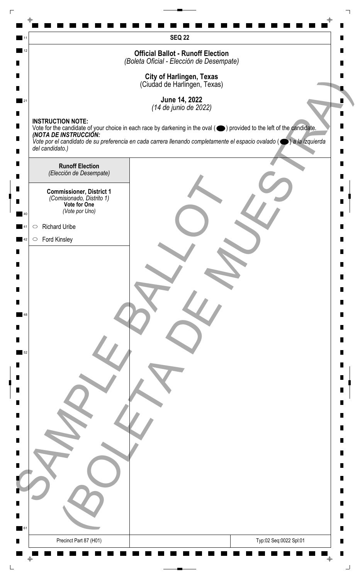|    | <b>SEQ 22</b>                                                                                                                                              |   |
|----|------------------------------------------------------------------------------------------------------------------------------------------------------------|---|
| 12 | <b>Official Ballot - Runoff Election</b>                                                                                                                   |   |
|    | (Boleta Oficial - Elección de Desempate)                                                                                                                   |   |
|    | <b>City of Harlingen, Texas</b><br>(Ciudad de Harlingen, Texas)                                                                                            |   |
|    | June 14, 2022                                                                                                                                              |   |
|    | (14 de junio de 2022)<br><b>INSTRUCTION NOTE:</b>                                                                                                          |   |
|    | Vote for the candidate of your choice in each race by darkening in the oval ( $\bigcirc$ ) provided to the left of the candidate.<br>(NOTA DE INSTRUCCIÓN: |   |
|    | Vote por el candidato de su preferencia en cada carrera llenando completamente el espacio ovalado ( $\bigcirc$ ) a la izquierda<br>del candidato.)         |   |
|    | <b>Runoff Election</b>                                                                                                                                     |   |
|    | (Elección de Desempate)                                                                                                                                    |   |
|    | <b>Commissioner, District 1</b><br>(Comisionado, Distrito 1)                                                                                               |   |
|    | Vote for One<br>(Vote por Uno)                                                                                                                             |   |
|    | <b>Richard Uribe</b><br>$\bigcirc$                                                                                                                         |   |
|    | <b>Ford Kinsley</b><br>$\circ$                                                                                                                             |   |
|    |                                                                                                                                                            |   |
|    |                                                                                                                                                            |   |
|    |                                                                                                                                                            |   |
|    |                                                                                                                                                            |   |
|    |                                                                                                                                                            |   |
|    |                                                                                                                                                            |   |
|    |                                                                                                                                                            |   |
|    |                                                                                                                                                            |   |
|    |                                                                                                                                                            |   |
|    |                                                                                                                                                            |   |
|    |                                                                                                                                                            |   |
|    |                                                                                                                                                            |   |
|    |                                                                                                                                                            |   |
|    |                                                                                                                                                            |   |
|    |                                                                                                                                                            |   |
|    |                                                                                                                                                            |   |
|    |                                                                                                                                                            |   |
|    |                                                                                                                                                            |   |
|    |                                                                                                                                                            |   |
| 61 |                                                                                                                                                            | ш |